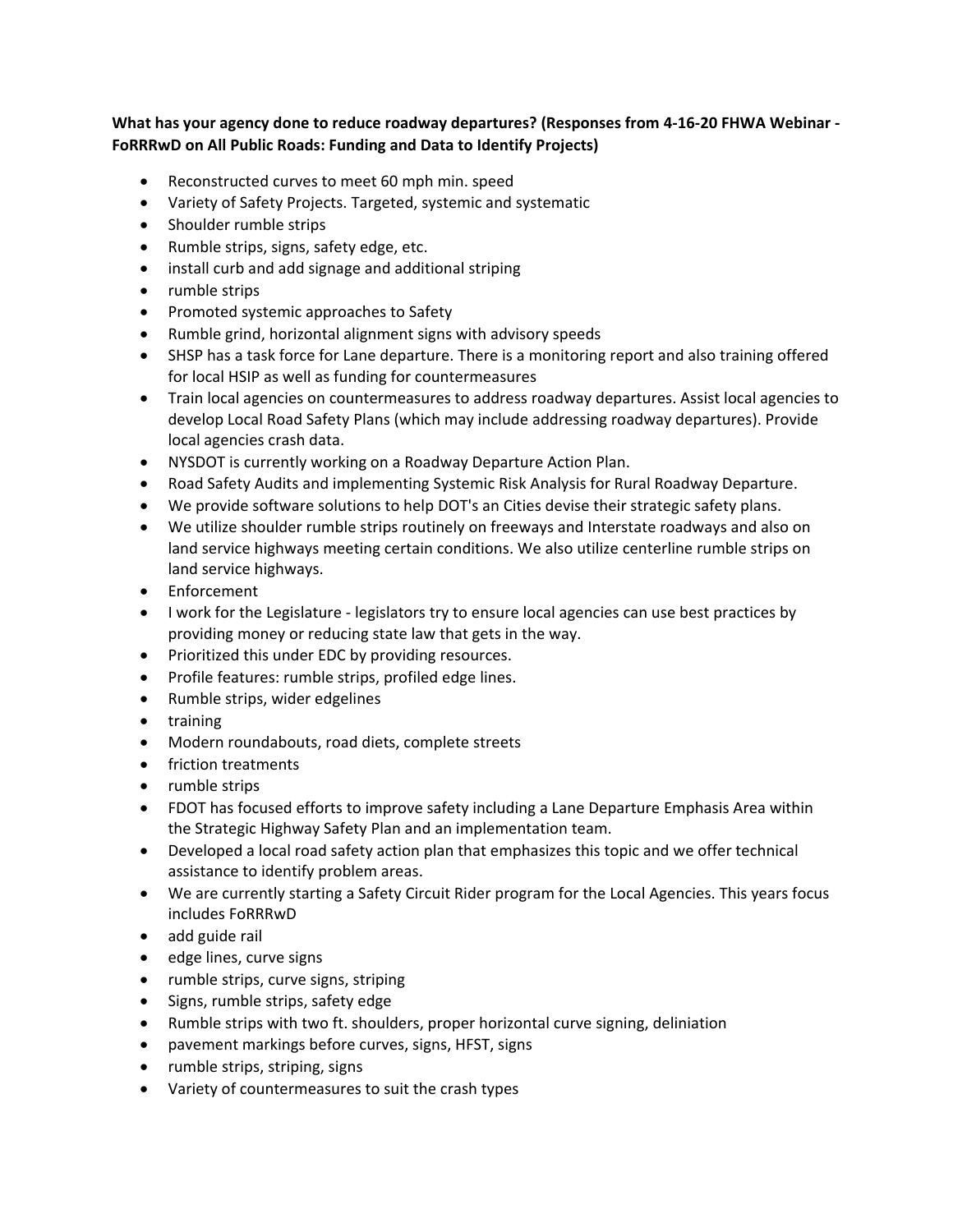## What has your agency done to reduce roadway departures? (Responses from 4-16-20 FHWA Webinar -**FoRRRwD on All Public Roads: Funding and Data to Identify Projects)**

- Reconstructed curves to meet 60 mph min. speed
- Variety of Safety Projects. Targeted, systemic and systematic
- Shoulder rumble strips
- Rumble strips, signs, safety edge, etc.
- install curb and add signage and additional striping
- rumble strips
- Promoted systemic approaches to Safety
- Rumble grind, horizontal alignment signs with advisory speeds
- SHSP has a task force for Lane departure. There is a monitoring report and also training offered for local HSIP as well as funding for countermeasures
- Train local agencies on countermeasures to address roadway departures. Assist local agencies to develop Local Road Safety Plans (which may include addressing roadway departures). Provide local agencies crash data.
- NYSDOT is currently working on a Roadway Departure Action Plan.
- Road Safety Audits and implementing Systemic Risk Analysis for Rural Roadway Departure.
- We provide software solutions to help DOT's an Cities devise their strategic safety plans.
- We utilize shoulder rumble strips routinely on freeways and Interstate roadways and also on land service highways meeting certain conditions. We also utilize centerline rumble strips on land service highways.
- Enforcement
- I work for the Legislature legislators try to ensure local agencies can use best practices by providing money or reducing state law that gets in the way.
- Prioritized this under EDC by providing resources.
- Profile features: rumble strips, profiled edge lines.
- Rumble strips, wider edgelines
- training
- Modern roundabouts, road diets, complete streets
- friction treatments
- rumble strips
- FDOT has focused efforts to improve safety including a Lane Departure Emphasis Area within the Strategic Highway Safety Plan and an implementation team.
- Developed a local road safety action plan that emphasizes this topic and we offer technical assistance to identify problem areas.
- We are currently starting a Safety Circuit Rider program for the Local Agencies. This years focus includes FoRRRwD
- add guide rail
- edge lines, curve signs
- rumble strips, curve signs, striping
- Signs, rumble strips, safety edge
- Rumble strips with two ft. shoulders, proper horizontal curve signing, deliniation
- pavement markings before curves, signs, HFST, signs
- rumble strips, striping, signs
- Variety of countermeasures to suit the crash types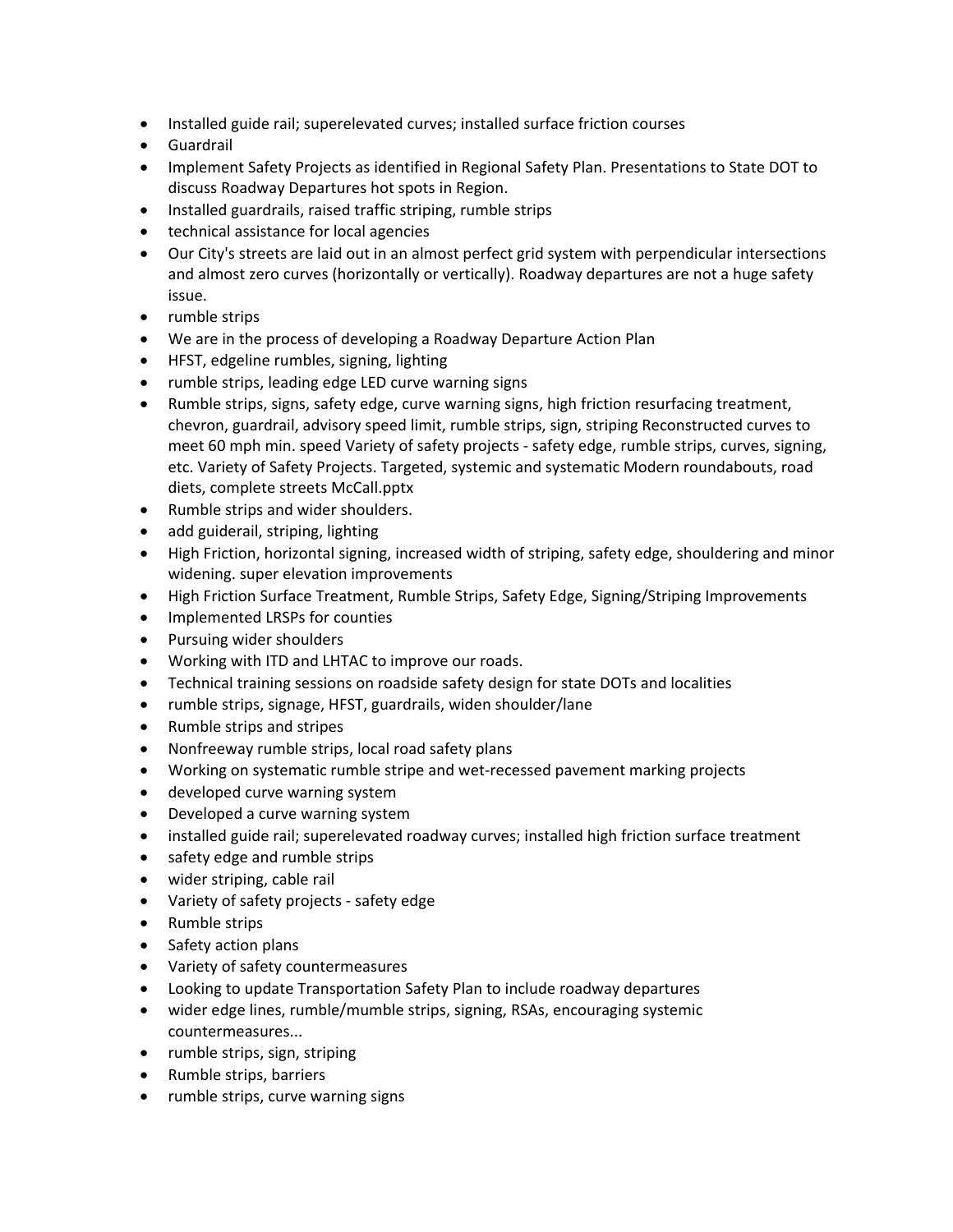- Installed guide rail; superelevated curves; installed surface friction courses
- Guardrail
- Implement Safety Projects as identified in Regional Safety Plan. Presentations to State DOT to discuss Roadway Departures hot spots in Region.
- Installed guardrails, raised traffic striping, rumble strips
- technical assistance for local agencies
- Our City's streets are laid out in an almost perfect grid system with perpendicular intersections and almost zero curves (horizontally or vertically). Roadway departures are not a huge safety issue.
- rumble strips
- We are in the process of developing a Roadway Departure Action Plan
- HFST, edgeline rumbles, signing, lighting
- rumble strips, leading edge LED curve warning signs
- Rumble strips, signs, safety edge, curve warning signs, high friction resurfacing treatment, chevron, guardrail, advisory speed limit, rumble strips, sign, striping Reconstructed curves to meet 60 mph min. speed Variety of safety projects - safety edge, rumble strips, curves, signing, etc. Variety of Safety Projects. Targeted, systemic and systematic Modern roundabouts, road diets, complete streets McCall.pptx
- Rumble strips and wider shoulders.
- add guiderail, striping, lighting
- High Friction, horizontal signing, increased width of striping, safety edge, shouldering and minor widening. super elevation improvements
- High Friction Surface Treatment, Rumble Strips, Safety Edge, Signing/Striping Improvements
- Implemented LRSPs for counties
- Pursuing wider shoulders
- Working with ITD and LHTAC to improve our roads.
- Technical training sessions on roadside safety design for state DOTs and localities
- rumble strips, signage, HFST, guardrails, widen shoulder/lane
- Rumble strips and stripes
- Nonfreeway rumble strips, local road safety plans
- Working on systematic rumble stripe and wet-recessed pavement marking projects
- developed curve warning system
- Developed a curve warning system
- installed guide rail; superelevated roadway curves; installed high friction surface treatment
- safety edge and rumble strips
- wider striping, cable rail
- Variety of safety projects ‐ safety edge
- Rumble strips
- Safety action plans
- Variety of safety countermeasures
- Looking to update Transportation Safety Plan to include roadway departures
- wider edge lines, rumble/mumble strips, signing, RSAs, encouraging systemic countermeasures...
- rumble strips, sign, striping
- Rumble strips, barriers
- rumble strips, curve warning signs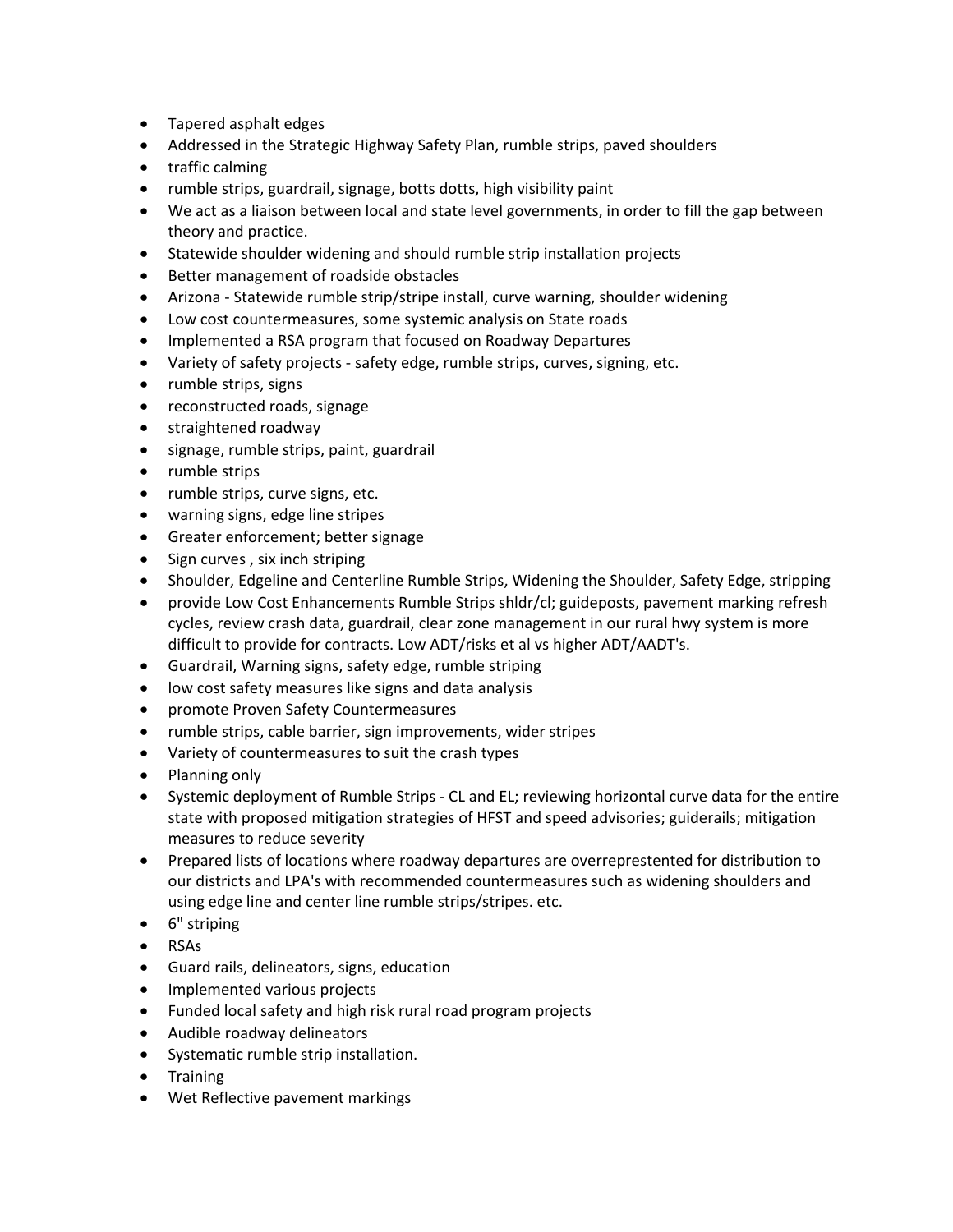- Tapered asphalt edges
- Addressed in the Strategic Highway Safety Plan, rumble strips, paved shoulders
- traffic calming
- rumble strips, guardrail, signage, botts dotts, high visibility paint
- We act as a liaison between local and state level governments, in order to fill the gap between theory and practice.
- Statewide shoulder widening and should rumble strip installation projects
- Better management of roadside obstacles
- Arizona Statewide rumble strip/stripe install, curve warning, shoulder widening
- Low cost countermeasures, some systemic analysis on State roads
- Implemented a RSA program that focused on Roadway Departures
- Variety of safety projects ‐ safety edge, rumble strips, curves, signing, etc.
- rumble strips, signs
- reconstructed roads, signage
- straightened roadway
- signage, rumble strips, paint, guardrail
- rumble strips
- rumble strips, curve signs, etc.
- warning signs, edge line stripes
- Greater enforcement; better signage
- Sign curves, six inch striping
- Shoulder, Edgeline and Centerline Rumble Strips, Widening the Shoulder, Safety Edge, stripping
- provide Low Cost Enhancements Rumble Strips shldr/cl; guideposts, pavement marking refresh cycles, review crash data, guardrail, clear zone management in our rural hwy system is more difficult to provide for contracts. Low ADT/risks et al vs higher ADT/AADT's.
- Guardrail, Warning signs, safety edge, rumble striping
- low cost safety measures like signs and data analysis
- promote Proven Safety Countermeasures
- rumble strips, cable barrier, sign improvements, wider stripes
- Variety of countermeasures to suit the crash types
- Planning only
- Systemic deployment of Rumble Strips CL and EL; reviewing horizontal curve data for the entire state with proposed mitigation strategies of HFST and speed advisories; guiderails; mitigation measures to reduce severity
- Prepared lists of locations where roadway departures are overreprestented for distribution to our districts and LPA's with recommended countermeasures such as widening shoulders and using edge line and center line rumble strips/stripes. etc.
- 6" striping
- RSAs
- Guard rails, delineators, signs, education
- Implemented various projects
- Funded local safety and high risk rural road program projects
- Audible roadway delineators
- Systematic rumble strip installation.
- Training
- Wet Reflective pavement markings